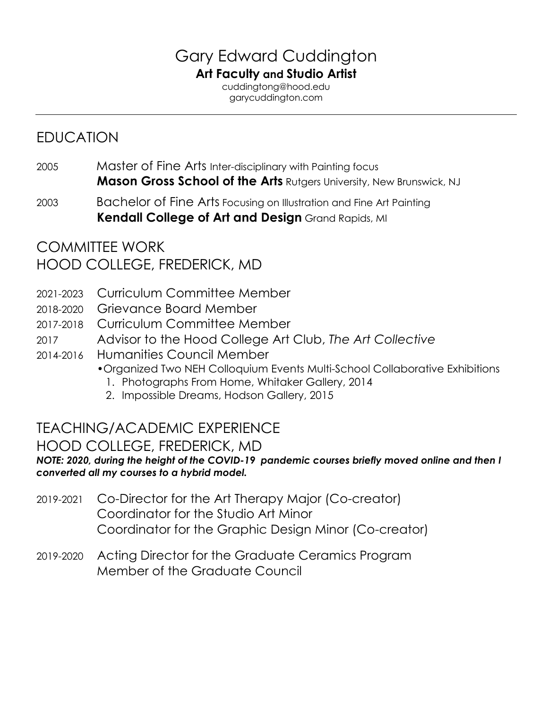# Gary Edward Cuddington **Art Faculty and Studio Artist**

cuddingtong@hood.edu garycuddington.com

# EDUCATION

- 2005 Master of Fine Arts Inter-disciplinary with Painting focus **Mason Gross School of the Arts** Rutgers University, New Brunswick, NJ
- 2003 Bachelor of Fine Arts Focusing on Illustration and Fine Art Painting **Kendall College of Art and Design** Grand Rapids, MI

# COMMITTEE WORK HOOD COLLEGE, FREDERICK, MD

- 2021-2023 Curriculum Committee Member
- 2018-2020 Grievance Board Member
- 2017-2018 Curriculum Committee Member
- 2017 Advisor to the Hood College Art Club, *The Art Collective*
- 2014-2016 Humanities Council Member
	- •Organized Two NEH Colloquium Events Multi-School Collaborative Exhibitions
		- 1. Photographs From Home, Whitaker Gallery, 2014
		- 2. Impossible Dreams, Hodson Gallery, 2015

# TEACHING/ACADEMIC EXPERIENCE

## HOOD COLLEGE, FREDERICK, MD

*NOTE: 2020, during the height of the COVID-19 pandemic courses briefly moved online and then I converted all my courses to a hybrid model.*

- 2019-2021 Co-Director for the Art Therapy Major (Co-creator) Coordinator for the Studio Art Minor Coordinator for the Graphic Design Minor (Co-creator)
- 2019-2020 Acting Director for the Graduate Ceramics Program Member of the Graduate Council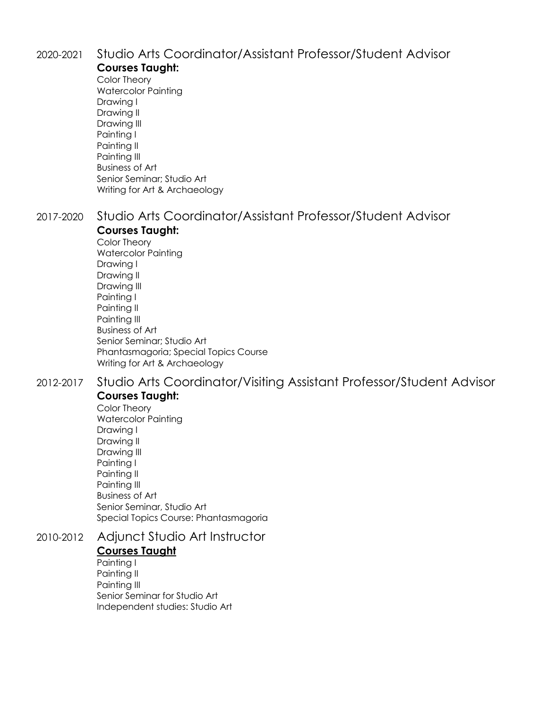# 2020-2021 Studio Arts Coordinator/Assistant Professor/Student Advisor

#### **Courses Taught:**

Color Theory Watercolor Painting Drawing I Drawing II Drawing III Painting I Painting II Painting III Business of Art Senior Seminar; Studio Art Writing for Art & Archaeology

#### 2017-2020 Studio Arts Coordinator/Assistant Professor/Student Advisor **Courses Taught:**

Color Theory Watercolor Painting Drawing I Drawing II Drawing III Painting I Painting II Painting III Business of Art Senior Seminar; Studio Art Phantasmagoria; Special Topics Course Writing for Art & Archaeology

#### 2012-2017 Studio Arts Coordinator/Visiting Assistant Professor/Student Advisor

#### **Courses Taught:**

Color Theory Watercolor Painting Drawing I Drawing II Drawing III Painting I Painting II Painting III Business of Art Senior Seminar, Studio Art Special Topics Course: Phantasmagoria

## 2010-2012 Adjunct Studio Art Instructor **Courses Taught**

Painting I Painting II Painting III Senior Seminar for Studio Art Independent studies: Studio Art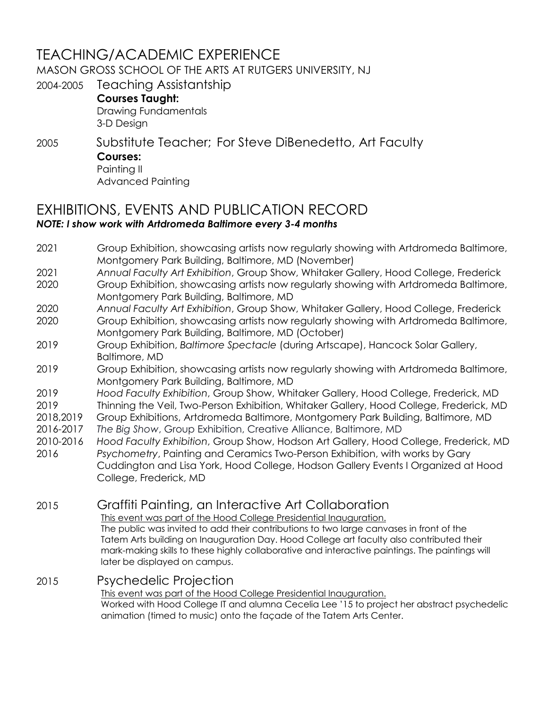# TEACHING/ACADEMIC EXPERIENCE

MASON GROSS SCHOOL OF THE ARTS AT RUTGERS UNIVERSITY, NJ

2004-2005 Teaching Assistantship

**Courses Taught:** Drawing Fundamentals 3-D Design

#### 2005 Substitute Teacher; For Steve DiBenedetto, Art Faculty **Courses:** Painting II

Advanced Painting

#### EXHIBITIONS, EVENTS AND PUBLICATION RECORD *NOTE: I show work with Artdromeda Baltimore every 3-4 months*

- 2021 Group Exhibition, showcasing artists now regularly showing with Artdromeda Baltimore, Montgomery Park Building, Baltimore, MD (November)
- 2021 *Annual Faculty Art Exhibition*, Group Show, Whitaker Gallery, Hood College, Frederick
- 2020 Group Exhibition, showcasing artists now regularly showing with Artdromeda Baltimore, Montgomery Park Building, Baltimore, MD
- 2020 *Annual Faculty Art Exhibition*, Group Show, Whitaker Gallery, Hood College, Frederick
- 2020 Group Exhibition, showcasing artists now regularly showing with Artdromeda Baltimore, Montgomery Park Building, Baltimore, MD (October)
- 2019 Group Exhibition, *Baltimore Spectacle* (during Artscape), Hancock Solar Gallery, Baltimore, MD
- 2019 Group Exhibition, showcasing artists now regularly showing with Artdromeda Baltimore, Montgomery Park Building, Baltimore, MD
- 2019 *Hood Faculty Exhibition*, Group Show, Whitaker Gallery, Hood College, Frederick, MD
- 2019 Thinning the Veil, Two-Person Exhibition, Whitaker Gallery, Hood College, Frederick, MD
- 2018,2019 Group Exhibitions, Artdromeda Baltimore, Montgomery Park Building, Baltimore, MD
- 2016-2017 *The Big Show*, Group Exhibition, Creative Alliance, Baltimore, MD
- 2010-2016 *Hood Faculty Exhibition*, Group Show, Hodson Art Gallery, Hood College, Frederick, MD 2016 *Psychometry*, Painting and Ceramics Two-Person Exhibition, with works by Gary
- Cuddington and Lisa York, Hood College, Hodson Gallery Events I Organized at Hood College, Frederick, MD

2015 Graffiti Painting, an Interactive Art Collaboration

This event was part of the Hood College Presidential Inauguration.

The public was invited to add their contributions to two large canvases in front of the Tatem Arts building on Inauguration Day. Hood College art faculty also contributed their mark-making skills to these highly collaborative and interactive paintings. The paintings will later be displayed on campus.

## 2015 Psychedelic Projection

This event was part of the Hood College Presidential Inauguration. Worked with Hood College IT and alumna Cecelia Lee '15 to project her abstract psychedelic animation (timed to music) onto the façade of the Tatem Arts Center.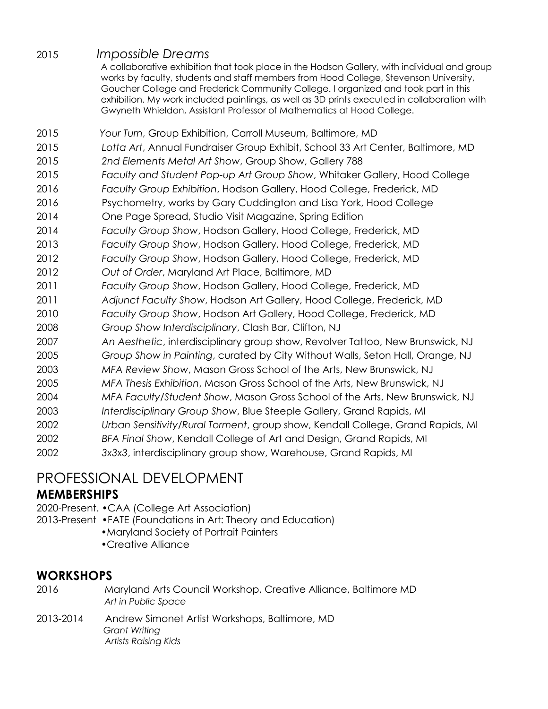#### 2015 *Impossible Dreams*

A collaborative exhibition that took place in the Hodson Gallery, with individual and group works by faculty, students and staff members from Hood College, Stevenson University, Goucher College and Frederick Community College. I organized and took part in this exhibition. My work included paintings, as well as 3D prints executed in collaboration with Gwyneth Whieldon, Assistant Professor of Mathematics at Hood College.

- 2015 *Your Turn*, Group Exhibition, Carroll Museum, Baltimore, MD
- 2015 *Lotta Art*, Annual Fundraiser Group Exhibit, School 33 Art Center, Baltimore, MD
- 2015 *2nd Elements Metal Art Show*, Group Show, Gallery 788
- 2015 *Faculty and Student Pop-up Art Group Show*, Whitaker Gallery, Hood College
- 2016 *Faculty Group Exhibition*, Hodson Gallery, Hood College, Frederick, MD
- 2016 Psychometry, works by Gary Cuddington and Lisa York, Hood College
- 2014 One Page Spread, Studio Visit Magazine, Spring Edition
- 2014 *Faculty Group Show*, Hodson Gallery, Hood College, Frederick, MD
- 2013 *Faculty Group Show*, Hodson Gallery, Hood College, Frederick, MD
- 2012 *Faculty Group Show*, Hodson Gallery, Hood College, Frederick, MD
- 2012 *Out of Order*, Maryland Art Place, Baltimore, MD
- 2011 *Faculty Group Show*, Hodson Gallery, Hood College, Frederick, MD
- 2011 *Adjunct Faculty Show*, Hodson Art Gallery, Hood College, Frederick, MD
- 2010 *Faculty Group Show*, Hodson Art Gallery, Hood College, Frederick, MD
- 2008 *Group Show Interdisciplinary*, Clash Bar, Clifton, NJ
- 2007 *An Aesthetic*, interdisciplinary group show, Revolver Tattoo, New Brunswick, NJ
- 2005 *Group Show in Painting*, curated by City Without Walls, Seton Hall, Orange, NJ
- 2003 *MFA Review Show*, Mason Gross School of the Arts, New Brunswick, NJ
- 2005 *MFA Thesis Exhibition*, Mason Gross School of the Arts, New Brunswick, NJ
- 2004 *MFA Faculty/Student Show*, Mason Gross School of the Arts, New Brunswick, NJ
- 2003 *Interdisciplinary Group Show*, Blue Steeple Gallery, Grand Rapids, MI
- 2002 *Urban Sensitivity/Rural Torment*, group show, Kendall College, Grand Rapids, MI
- 2002 *BFA Final Show*, Kendall College of Art and Design, Grand Rapids, MI
- 2002 *3x3x3*, interdisciplinary group show, Warehouse, Grand Rapids, MI

# PROFESSIONAL DEVELOPMENT

## **MEMBERSHIPS**

- 2020-Present. •CAA (College Art Association)
- 2013-Present •FATE (Foundations in Art: Theory and Education)
	- •Maryland Society of Portrait Painters
	- •Creative Alliance

## **WORKSHOPS**

- 2016 Maryland Arts Council Workshop, Creative Alliance, Baltimore MD *Art in Public Space*
- 2013-2014 Andrew Simonet Artist Workshops, Baltimore, MD *Grant Writing Artists Raising Kids*